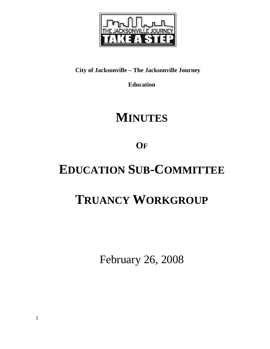

# **City of Jacksonville – The Jacksonville Journey**

**Education** 

# **MINUTES**

**OF**

# **EDUCATION SUB-COMMITTEE**

# **TRUANCY WORKGROUP**

February 26, 2008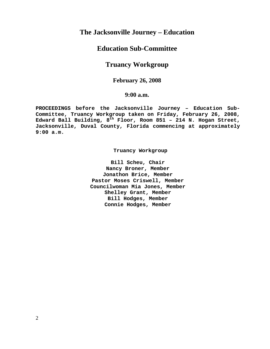# **The Jacksonville Journey – Education**

# **Education Sub-Committee**

# **Truancy Workgroup**

## **February 26, 2008**

## **9:00 a.m.**

**PROCEEDINGS before the Jacksonville Journey – Education Sub-Committee, Truancy Workgroup taken on Friday, February 26, 2008, Edward Ball Building, 8th Floor, Room 851 – 214 N. Hogan Street, Jacksonville, Duval County, Florida commencing at approximately 9:00 a.m.** 

 **Truancy Workgroup** 

**Bill Scheu, Chair Nancy Broner, Member Jonathon Brice, Member Pastor Moses Criswell, Member Councilwoman Mia Jones, Member Shelley Grant, Member Bill Hodges, Member Connie Hodges, Member**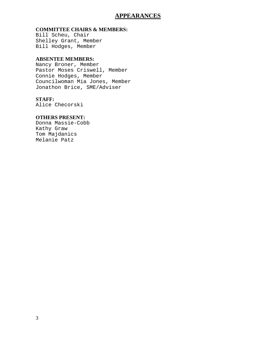## **APPEARANCES**

### **COMMITTEE CHAIRS & MEMBERS:**

Bill Scheu, Chair Shelley Grant, Member Bill Hodges, Member

## **ABSENTEE MEMBERS:**

Nancy Broner, Member Pastor Moses Criswell, Member Connie Hodges, Member Councilwoman Mia Jones, Member Jonathon Brice, SME/Adviser

### **STAFF:**

Alice Checorski

## **OTHERS PRESENT:**

Donna Massie-Cobb Kathy Graw Tom Majdanics Melanie Patz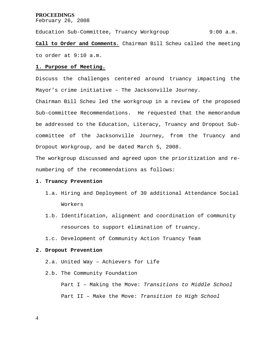### **PROCEEDINGS**

February 26, 2008

Education Sub-Committee, Truancy Workgroup 9:00 a.m. **Call to Order and Comments.** Chairman Bill Scheu called the meeting to order at 9:10 a.m.

#### **1. Purpose of Meeting.**

Discuss the challenges centered around truancy impacting the Mayor's crime initiative – The Jacksonville Journey.

Chairman Bill Scheu led the workgroup in a review of the proposed Sub-committee Recommendations. He requested that the memorandum be addressed to the Education, Literacy, Truancy and Dropout Subcommittee of the Jacksonville Journey, from the Truancy and Dropout Workgroup, and be dated March 5, 2008.

The workgroup discussed and agreed upon the prioritization and renumbering of the recommendations as follows:

#### **1. Truancy Prevention**

- 1.a. Hiring and Deployment of 30 additional Attendance Social Workers
- 1.b. Identification, alignment and coordination of community resources to support elimination of truancy.
- 1.c. Development of Community Action Truancy Team

#### **2. Dropout Prevention**

- 2.a. United Way Achievers for Life
- 2.b. The Community Foundation

 Part I – Making the Move: *Transitions to Middle School* Part II – Make the Move: *Transition to High School* 

4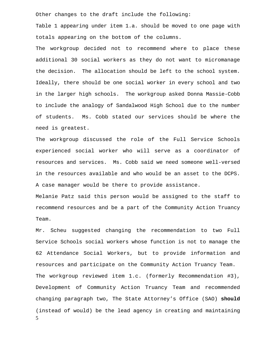Other changes to the draft include the following:

Table 1 appearing under item 1.a. should be moved to one page with totals appearing on the bottom of the columns.

The workgroup decided not to recommend where to place these additional 30 social workers as they do not want to micromanage the decision. The allocation should be left to the school system. Ideally, there should be one social worker in every school and two in the larger high schools. The workgroup asked Donna Massie-Cobb to include the analogy of Sandalwood High School due to the number of students. Ms. Cobb stated our services should be where the need is greatest.

The workgroup discussed the role of the Full Service Schools experienced social worker who will serve as a coordinator of resources and services. Ms. Cobb said we need someone well-versed in the resources available and who would be an asset to the DCPS. A case manager would be there to provide assistance.

Melanie Patz said this person would be assigned to the staff to recommend resources and be a part of the Community Action Truancy Team.

5 Mr. Scheu suggested changing the recommendation to two Full Service Schools social workers whose function is not to manage the 62 Attendance Social Workers, but to provide information and resources and participate on the Community Action Truancy Team. The workgroup reviewed item 1.c. (formerly Recommendation #3), Development of Community Action Truancy Team and recommended changing paragraph two, The State Attorney's Office (SAO) **should**  (instead of would) be the lead agency in creating and maintaining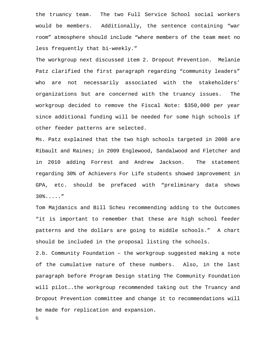the truancy team. The two Full Service School social workers would be members. Additionally, the sentence containing "war room" atmosphere should include "where members of the team meet no less frequently that bi-weekly."

The workgroup next discussed item 2. Dropout Prevention. Melanie Patz clarified the first paragraph regarding "community leaders" who are not necessarily associated with the stakeholders' organizations but are concerned with the truancy issues. The workgroup decided to remove the Fiscal Note: \$350,000 per year since additional funding will be needed for some high schools if other feeder patterns are selected.

Ms. Patz explained that the two high schools targeted in 2008 are Ribault and Raines; in 2009 Englewood, Sandalwood and Fletcher and in 2010 adding Forrest and Andrew Jackson. The statement regarding 30% of Achievers For Life students showed improvement in GPA, etc. should be prefaced with "preliminary data shows 30%....."

Tom Majdanics and Bill Scheu recommending adding to the Outcomes "it is important to remember that these are high school feeder patterns and the dollars are going to middle schools." A chart should be included in the proposal listing the schools.

2.b. Community Foundation – the workgroup suggested making a note of the cumulative nature of these numbers. Also, in the last paragraph before Program Design stating The Community Foundation will pilot….the workgroup recommended taking out the Truancy and Dropout Prevention committee and change it to recommendations will be made for replication and expansion.

6